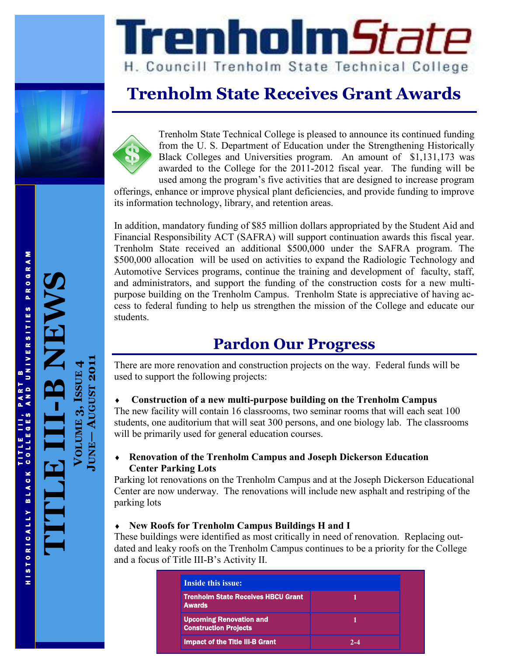

# Trenholm5tate H. Councill Trenholm State Technical College

# **Trenholm State Receives Grant Awards**

Trenholm State Technical College is pleased to announce its continued funding from the U. S. Department of Education under the Strengthening Historically Black Colleges and Universities program. An amount of \$1,131,173 was awarded to the College for the 2011-2012 fiscal year. The funding will be used among the program's five activities that are designed to increase program

offerings, enhance or improve physical plant deficiencies, and provide funding to improve its information technology, library, and retention areas.

In addition, mandatory funding of \$85 million dollars appropriated by the Student Aid and Financial Responsibility ACT (SAFRA) will support continuation awards this fiscal year. Trenholm State received an additional \$500,000 under the SAFRA program. The \$500,000 allocation will be used on activities to expand the Radiologic Technology and Automotive Services programs, continue the training and development of faculty, staff, and administrators, and support the funding of the construction costs for a new multipurpose building on the Trenholm Campus. Trenholm State is appreciative of having access to federal funding to help us strengthen the mission of the College and educate our students.

# **Pardon Our Progress**

There are more renovation and construction projects on the way. Federal funds will be used to support the following projects:

#### **Construction of a new multi-purpose building on the Trenholm Campus**

The new facility will contain 16 classrooms, two seminar rooms that will each seat 100 students, one auditorium that will seat 300 persons, and one biology lab. The classrooms will be primarily used for general education courses.

#### **Renovation of the Trenholm Campus and Joseph Dickerson Education Center Parking Lots**

Parking lot renovations on the Trenholm Campus and at the Joseph Dickerson Educational Center are now underway. The renovations will include new asphalt and restriping of the parking lots

#### **New Roofs for Trenholm Campus Buildings H and I**

These buildings were identified as most critically in need of renovation. Replacing outdated and leaky roofs on the Trenholm Campus continues to be a priority for the College and a focus of Title III-B's Activity II.

| <b>Inside this issue:</b>                                      |         |
|----------------------------------------------------------------|---------|
| <b>Trenholm State Receives HBCU Grant</b><br><b>Awards</b>     |         |
| <b>Upcoming Renovation and</b><br><b>Construction Projects</b> |         |
| <b>Impact of the Title III-B Grant</b>                         | $2 - 4$ |

T T I STORICALLY BLACK COLLEGES AND UNIVERSITIES PROGRAM AND UNIVERSITIES PROGRAM HISTORICALLY BLACK COLLEG

**TITLE III**

**-B NEWS**

**VOLUME 3, ISSUE**

**JUNE**

**AUGUST 2011**

**4**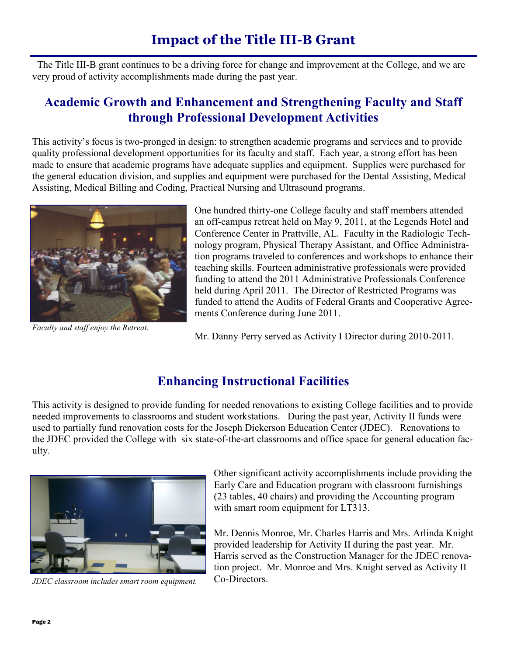## **Impact of the Title III-B Grant**

 The Title III-B grant continues to be a driving force for change and improvement at the College, and we are very proud of activity accomplishments made during the past year.

#### **Academic Growth and Enhancement and Strengthening Faculty and Staff through Professional Development Activities**

This activity's focus is two-pronged in design: to strengthen academic programs and services and to provide quality professional development opportunities for its faculty and staff. Each year, a strong effort has been made to ensure that academic programs have adequate supplies and equipment. Supplies were purchased for the general education division, and supplies and equipment were purchased for the Dental Assisting, Medical Assisting, Medical Billing and Coding, Practical Nursing and Ultrasound programs.



*Faculty and staff enjoy the Retreat.*

One hundred thirty-one College faculty and staff members attended an off-campus retreat held on May 9, 2011, at the Legends Hotel and Conference Center in Prattville, AL. Faculty in the Radiologic Technology program, Physical Therapy Assistant, and Office Administration programs traveled to conferences and workshops to enhance their teaching skills. Fourteen administrative professionals were provided funding to attend the 2011 Administrative Professionals Conference held during April 2011. The Director of Restricted Programs was funded to attend the Audits of Federal Grants and Cooperative Agreements Conference during June 2011.

Mr. Danny Perry served as Activity I Director during 2010-2011.

### **Enhancing Instructional Facilities**

This activity is designed to provide funding for needed renovations to existing College facilities and to provide needed improvements to classrooms and student workstations. During the past year, Activity II funds were used to partially fund renovation costs for the Joseph Dickerson Education Center (JDEC). Renovations to the JDEC provided the College with six state-of-the-art classrooms and office space for general education faculty.



*JDEC classroom includes smart room equipment.*

Other significant activity accomplishments include providing the Early Care and Education program with classroom furnishings (23 tables, 40 chairs) and providing the Accounting program with smart room equipment for LT313.

Mr. Dennis Monroe, Mr. Charles Harris and Mrs. Arlinda Knight provided leadership for Activity II during the past year. Mr. Harris served as the Construction Manager for the JDEC renovation project. Mr. Monroe and Mrs. Knight served as Activity II Co-Directors.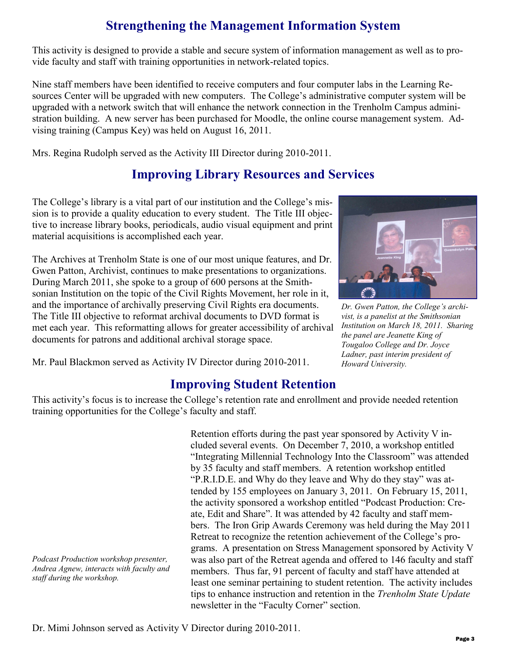## **Strengthening the Management Information System**

This activity is designed to provide a stable and secure system of information management as well as to provide faculty and staff with training opportunities in network-related topics.

Nine staff members have been identified to receive computers and four computer labs in the Learning Resources Center will be upgraded with new computers. The College's administrative computer system will be upgraded with a network switch that will enhance the network connection in the Trenholm Campus administration building. A new server has been purchased for Moodle, the online course management system. Advising training (Campus Key) was held on August 16, 2011.

Mrs. Regina Rudolph served as the Activity III Director during 2010-2011.

## **Improving Library Resources and Services**

The College's library is a vital part of our institution and the College's mission is to provide a quality education to every student. The Title III objective to increase library books, periodicals, audio visual equipment and print material acquisitions is accomplished each year.

The Archives at Trenholm State is one of our most unique features, and Dr. Gwen Patton, Archivist, continues to make presentations to organizations. During March 2011, she spoke to a group of 600 persons at the Smithsonian Institution on the topic of the Civil Rights Movement, her role in it, and the importance of archivally preserving Civil Rights era documents. The Title III objective to reformat archival documents to DVD format is met each year. This reformatting allows for greater accessibility of archival documents for patrons and additional archival storage space.



*Dr. Gwen Patton, the College's archivist, is a panelist at the Smithsonian Institution on March 18, 2011. Sharing the panel are Jeanette King of Tougaloo College and Dr. Joyce Ladner, past interim president of Howard University.*

Mr. Paul Blackmon served as Activity IV Director during 2010-2011.

#### **Improving Student Retention**

This activity's focus is to increase the College's retention rate and enrollment and provide needed retention training opportunities for the College's faculty and staff.

*Podcast Production workshop presenter, Andrea Agnew, interacts with faculty and staff during the workshop.*

Retention efforts during the past year sponsored by Activity V included several events. On December 7, 2010, a workshop entitled "Integrating Millennial Technology Into the Classroom" was attended by 35 faculty and staff members. A retention workshop entitled "P.R.I.D.E. and Why do they leave and Why do they stay" was attended by 155 employees on January 3, 2011. On February 15, 2011, the activity sponsored a workshop entitled "Podcast Production: Create, Edit and Share". It was attended by 42 faculty and staff members. The Iron Grip Awards Ceremony was held during the May 2011 Retreat to recognize the retention achievement of the College's programs. A presentation on Stress Management sponsored by Activity V was also part of the Retreat agenda and offered to 146 faculty and staff members. Thus far, 91 percent of faculty and staff have attended at least one seminar pertaining to student retention. The activity includes tips to enhance instruction and retention in the *Trenholm State Update*  newsletter in the "Faculty Corner" section.